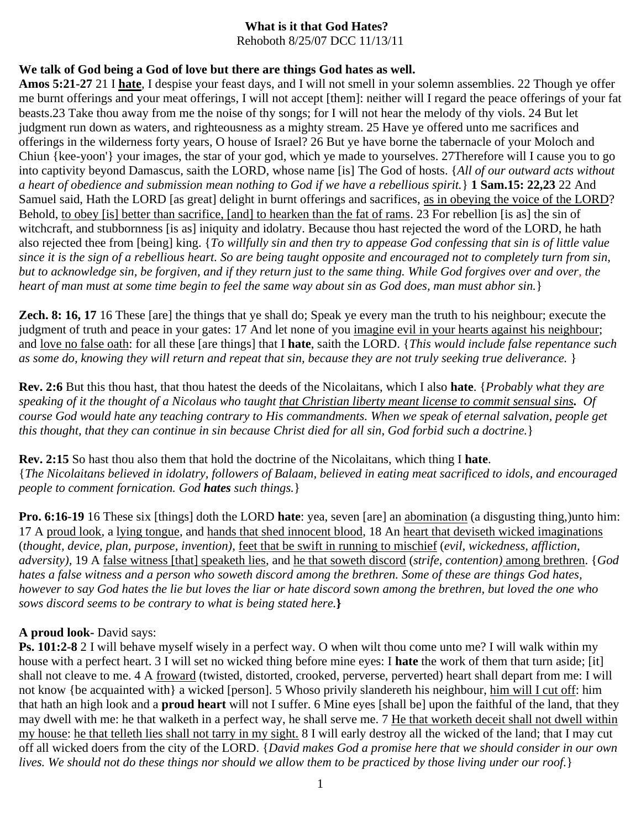# **What is it that God Hates?**

Rehoboth 8/25/07 DCC 11/13/11

#### **We talk of God being a God of love but there are things God hates as well.**

**Amos 5:21-27** 21 I **hate**, I despise your feast days, and I will not smell in your solemn assemblies. 22 Though ye offer me burnt offerings and your meat offerings, I will not accept [them]: neither will I regard the peace offerings of your fat beasts.23 Take thou away from me the noise of thy songs; for I will not hear the melody of thy viols. 24 But let judgment run down as waters, and righteousness as a mighty stream. 25 Have ye offered unto me sacrifices and offerings in the wilderness forty years, O house of Israel? 26 But ye have borne the tabernacle of your Moloch and Chiun {kee-yoon'} your images, the star of your god, which ye made to yourselves. 27Therefore will I cause you to go into captivity beyond Damascus, saith the LORD, whose name [is] The God of hosts. {*All of our outward acts without a heart of obedience and submission mean nothing to God if we have a rebellious spirit.*} **1 Sam.15: 22,23** 22 And Samuel said, Hath the LORD [as great] delight in burnt offerings and sacrifices, as in obeying the voice of the LORD? Behold, to obey [is] better than sacrifice, [and] to hearken than the fat of rams. 23 For rebellion [is as] the sin of witchcraft, and stubbornness [is as] iniquity and idolatry. Because thou hast rejected the word of the LORD, he hath also rejected thee from [being] king. {*To willfully sin and then try to appease God confessing that sin is of little value since it is the sign of a rebellious heart. So are being taught opposite and encouraged not to completely turn from sin, but to acknowledge sin, be forgiven, and if they return just to the same thing. While God forgives over and over, the heart of man must at some time begin to feel the same way about sin as God does, man must abhor sin.*}

**Zech. 8: 16, 17** 16 These [are] the things that ye shall do; Speak ye every man the truth to his neighbour; execute the judgment of truth and peace in your gates: 17 And let none of you <u>imagine evil in your hearts against his neighbour</u>; and love no false oath: for all these [are things] that I **hate**, saith the LORD. {*This would include false repentance such as some do, knowing they will return and repeat that sin, because they are not truly seeking true deliverance.* }

**Rev. 2:6** But this thou hast, that thou hatest the deeds of the Nicolaitans, which I also **hate**. {*Probably what they are speaking of it the thought of a Nicolaus who taught that Christian liberty meant license to commit sensual sins. Of course God would hate any teaching contrary to His commandments. When we speak of eternal salvation, people get this thought, that they can continue in sin because Christ died for all sin, God forbid such a doctrine.*}

**Rev. 2:15** So hast thou also them that hold the doctrine of the Nicolaitans, which thing I **hate**. {*The Nicolaitans believed in idolatry, followers of Balaam, believed in eating meat sacrificed to idols, and encouraged people to comment fornication. God hates such things.*}

**Pro. 6:16-19** 16 These six [things] doth the LORD **hate**: yea, seven [are] an abomination (a disgusting thing,)unto him: 17 A proud look, a lying tongue, and hands that shed innocent blood, 18 An heart that deviseth wicked imaginations (*thought, device, plan, purpose, invention)*, feet that be swift in running to mischief (*evil, wickedness, affliction, adversity),* 19 A false witness [that] speaketh lies, and he that soweth discord (*strife, contention)* among brethren. {*God*  hates a false witness and a person who soweth discord among the brethren. Some of these are things God hates, *however to say God hates the lie but loves the liar or hate discord sown among the brethren, but loved the one who sows discord seems to be contrary to what is being stated here.***}**

# **A proud look-** David says:

**Ps. 101:2-8** 2 I will behave myself wisely in a perfect way. O when wilt thou come unto me? I will walk within my house with a perfect heart. 3 I will set no wicked thing before mine eyes: I **hate** the work of them that turn aside; [it] shall not cleave to me. 4 A froward (twisted, distorted, crooked, perverse, perverted) heart shall depart from me: I will not know {be acquainted with} a wicked [person]. 5 Whoso privily slandereth his neighbour, him will I cut off: him that hath an high look and a **proud heart** will not I suffer. 6 Mine eyes [shall be] upon the faithful of the land, that they may dwell with me: he that walketh in a perfect way, he shall serve me. 7 He that worketh deceit shall not dwell within my house: he that telleth lies shall not tarry in my sight. 8 I will early destroy all the wicked of the land; that I may cut off all wicked doers from the city of the LORD. {*David makes God a promise here that we should consider in our own*  lives. We should not do these things nor should we allow them to be practiced by those living under our roof.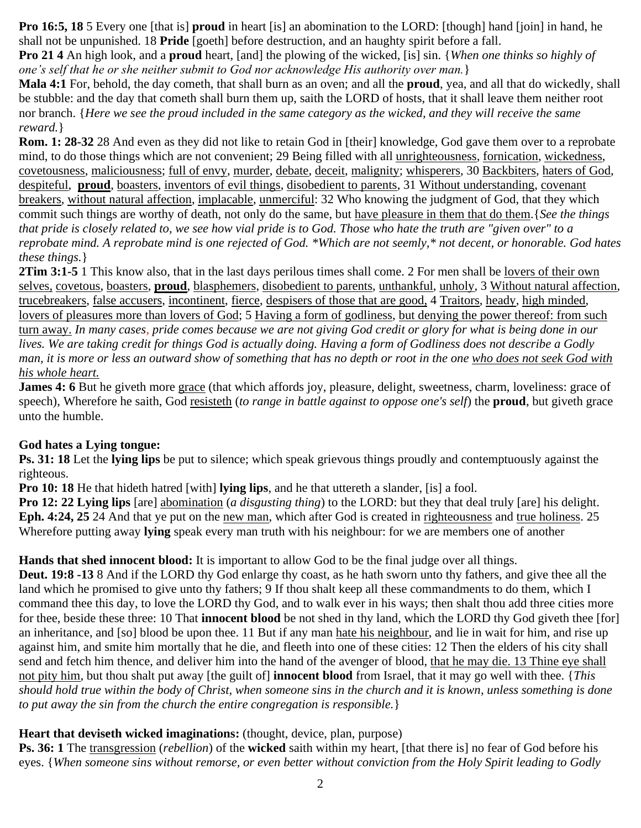**Pro 16:5, 18** 5 Every one [that is] **proud** in heart [is] an abomination to the LORD: [though] hand [join] in hand, he shall not be unpunished. 18 **Pride** [goeth] before destruction, and an haughty spirit before a fall.

**Pro 21 4** An high look, and a **proud** heart, [and] the plowing of the wicked, [is] sin. {*When one thinks so highly of one's self that he or she neither submit to God nor acknowledge His authority over man.*}

**Mala 4:1** For, behold, the day cometh, that shall burn as an oven; and all the **proud**, yea, and all that do wickedly, shall be stubble: and the day that cometh shall burn them up, saith the LORD of hosts, that it shall leave them neither root nor branch. {*Here we see the proud included in the same category as the wicked, and they will receive the same reward.*}

**Rom. 1: 28-32** 28 And even as they did not like to retain God in [their] knowledge, God gave them over to a reprobate mind, to do those things which are not convenient; 29 Being filled with all unrighteousness, fornication, wickedness, covetousness, maliciousness; full of envy, murder, debate, deceit, malignity; whisperers, 30 Backbiters, haters of God, despiteful, **proud**, boasters, inventors of evil things, disobedient to parents, 31 Without understanding, covenant breakers, without natural affection, implacable, unmerciful: 32 Who knowing the judgment of God, that they which commit such things are worthy of death, not only do the same, but have pleasure in them that do them.{*See the things that pride is closely related to, we see how vial pride is to God. Those who hate the truth are "given over" to a reprobate mind. A reprobate mind is one rejected of God. \*Which are not seemly,\* not decent, or honorable. God hates these things.*}

**2Tim 3:1-5** 1 This know also, that in the last days perilous times shall come. 2 For men shall be lovers of their own selves, covetous, boasters, **proud**, blasphemers, disobedient to parents, unthankful, unholy, 3 Without natural affection, trucebreakers, false accusers, incontinent, fierce, despisers of those that are good, 4 Traitors, heady, high minded, lovers of pleasures more than lovers of God; 5 Having a form of godliness, but denying the power thereof: from such turn away. *In many cases, pride comes because we are not giving God credit or glory for what is being done in our lives. We are taking credit for things God is actually doing. Having a form of Godliness does not describe a Godly man, it is more or less an outward show of something that has no depth or root in the one who does not seek God with his whole heart.* 

**James 4: 6** But he giveth more grace (that which affords joy, pleasure, delight, sweetness, charm, loveliness: grace of speech), Wherefore he saith, God resisteth (*to range in battle against to oppose one's self*) the **proud**, but giveth grace unto the humble.

# **God hates a Lying tongue:**

**Ps. 31: 18** Let the **lying lips** be put to silence; which speak grievous things proudly and contemptuously against the righteous.

**Pro 10: 18** He that hideth hatred [with] **lying lips**, and he that uttereth a slander, [is] a fool.

**Pro 12: 22 Lying lips** [are] abomination (*a disgusting thing*) to the LORD: but they that deal truly [are] his delight. **Eph. 4:24, 25** 24 And that ye put on the new man, which after God is created in righteousness and true holiness. 25 Wherefore putting away **lying** speak every man truth with his neighbour: for we are members one of another

# **Hands that shed innocent blood:** It is important to allow God to be the final judge over all things.

**Deut. 19:8 -13** 8 And if the LORD thy God enlarge thy coast, as he hath sworn unto thy fathers, and give thee all the land which he promised to give unto thy fathers; 9 If thou shalt keep all these commandments to do them, which I command thee this day, to love the LORD thy God, and to walk ever in his ways; then shalt thou add three cities more for thee, beside these three: 10 That **innocent blood** be not shed in thy land, which the LORD thy God giveth thee [for] an inheritance, and [so] blood be upon thee. 11 But if any man hate his neighbour, and lie in wait for him, and rise up against him, and smite him mortally that he die, and fleeth into one of these cities: 12 Then the elders of his city shall send and fetch him thence, and deliver him into the hand of the avenger of blood, that he may die. 13 Thine eye shall not pity him, but thou shalt put away [the guilt of] **innocent blood** from Israel, that it may go well with thee. {*This should hold true within the body of Christ, when someone sins in the church and it is known, unless something is done to put away the sin from the church the entire congregation is responsible.*}

#### **Heart that deviseth wicked imaginations:** (thought, device, plan, purpose)

**Ps. 36: 1** The transgression (*rebellion*) of the **wicked** saith within my heart, [that there is] no fear of God before his eyes. {*When someone sins without remorse, or even better without conviction from the Holy Spirit leading to Godly*